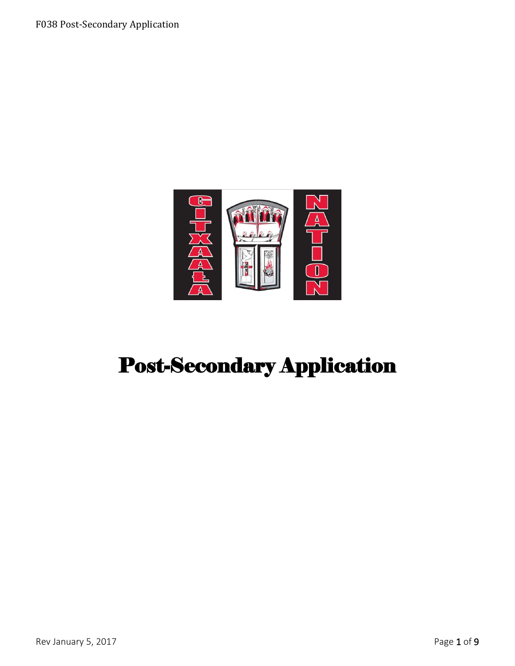

# Post-Secondary Application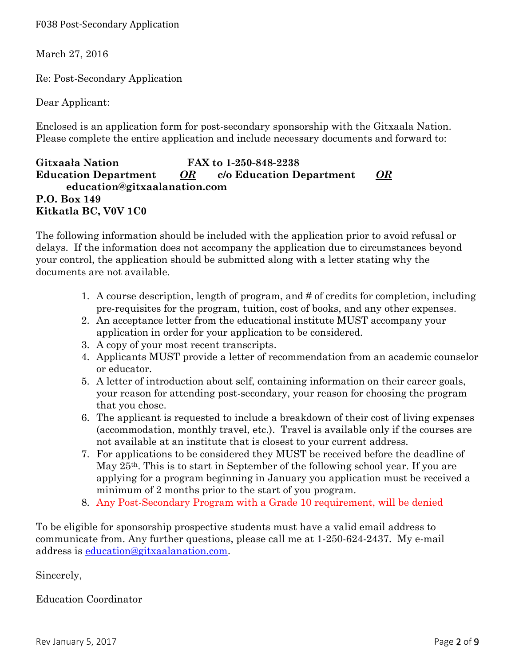F038 Post-Secondary Application

March 27, 2016

Re: Post-Secondary Application

Dear Applicant:

Enclosed is an application form for post-secondary sponsorship with the Gitxaala Nation. Please complete the entire application and include necessary documents and forward to:

## **Gitxaała Nation FAX to 1-250-848-2238 Education Department** *OR* **c/o Education Department** *OR* **education@gitxaalanation.com P.O. Box 149 Kitkatla BC, V0V 1C0**

The following information should be included with the application prior to avoid refusal or delays. If the information does not accompany the application due to circumstances beyond your control, the application should be submitted along with a letter stating why the documents are not available.

- 1. A course description, length of program, and # of credits for completion, including pre-requisites for the program, tuition, cost of books, and any other expenses.
- 2. An acceptance letter from the educational institute MUST accompany your application in order for your application to be considered.
- 3. A copy of your most recent transcripts.
- 4. Applicants MUST provide a letter of recommendation from an academic counselor or educator.
- 5. A letter of introduction about self, containing information on their career goals, your reason for attending post-secondary, your reason for choosing the program that you chose.
- 6. The applicant is requested to include a breakdown of their cost of living expenses (accommodation, monthly travel, etc.). Travel is available only if the courses are not available at an institute that is closest to your current address.
- 7. For applications to be considered they MUST be received before the deadline of May 25th. This is to start in September of the following school year. If you are applying for a program beginning in January you application must be received a minimum of 2 months prior to the start of you program.
- 8. Any Post-Secondary Program with a Grade 10 requirement, will be denied

To be eligible for sponsorship prospective students must have a valid email address to communicate from. Any further questions, please call me at 1-250-624-2437. My e-mail address is [education@gitxaalanation.com.](mailto:education@gitxaalanation.com)

Sincerely,

Education Coordinator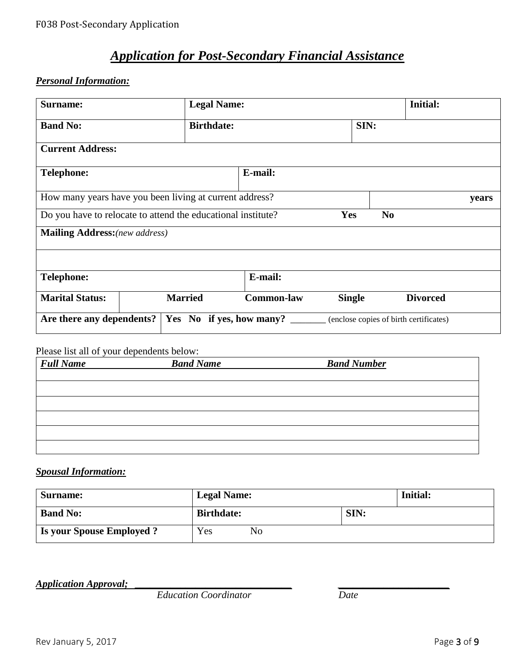# *Application for Post-Secondary Financial Assistance*

# *Personal Information:*

| Surname:                                                     |  | <b>Legal Name:</b>       |                   |               |                | <b>Initial:</b>                        |       |
|--------------------------------------------------------------|--|--------------------------|-------------------|---------------|----------------|----------------------------------------|-------|
| <b>Band No:</b>                                              |  | <b>Birthdate:</b>        |                   | SIN:          |                |                                        |       |
| <b>Current Address:</b>                                      |  |                          |                   |               |                |                                        |       |
| <b>Telephone:</b>                                            |  |                          | E-mail:           |               |                |                                        |       |
| How many years have you been living at current address?      |  |                          |                   |               |                |                                        | years |
| Do you have to relocate to attend the educational institute? |  |                          |                   | Yes           | N <sub>0</sub> |                                        |       |
| <b>Mailing Address:</b> (new address)                        |  |                          |                   |               |                |                                        |       |
|                                                              |  |                          |                   |               |                |                                        |       |
| <b>Telephone:</b>                                            |  |                          | E-mail:           |               |                |                                        |       |
| <b>Marital Status:</b>                                       |  | <b>Married</b>           | <b>Common-law</b> | <b>Single</b> |                | <b>Divorced</b>                        |       |
| Are there any dependents?                                    |  | Yes No if yes, how many? |                   |               |                | (enclose copies of birth certificates) |       |

#### Please list all of your dependents below:

| <b>Full Name</b> | <b>Band Name</b> | <b>Band Number</b> |  |
|------------------|------------------|--------------------|--|
|                  |                  |                    |  |
|                  |                  |                    |  |
|                  |                  |                    |  |
|                  |                  |                    |  |
|                  |                  |                    |  |
|                  |                  |                    |  |

## *Spousal Information:*

| Surname:                         | <b>Legal Name:</b> |      | <b>Initial:</b> |
|----------------------------------|--------------------|------|-----------------|
| <b>Band No:</b>                  | <b>Birthdate:</b>  | SIN: |                 |
| <b>Is your Spouse Employed ?</b> | Yes<br>No          |      |                 |

*Application Approval;* 

*Education Coordinator Date*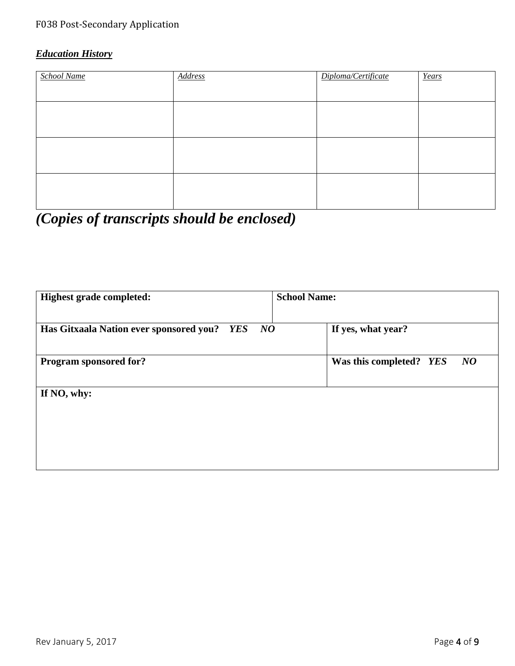# *Education History*

| School Name | <b>Address</b> | Diploma/Certificate | Years |
|-------------|----------------|---------------------|-------|
|             |                |                     |       |
|             |                |                     |       |
|             |                |                     |       |
|             |                |                     |       |
|             |                |                     |       |
|             |                |                     |       |
|             |                |                     |       |

*(Copies of transcripts should be enclosed)*

| <b>Highest grade completed:</b>                | <b>School Name:</b>           |
|------------------------------------------------|-------------------------------|
| Has Gitxaala Nation ever sponsored you? YES NO | If yes, what year?            |
| Program sponsored for?                         | Was this completed? YES<br>NQ |
| If NO, why:                                    |                               |
|                                                |                               |
|                                                |                               |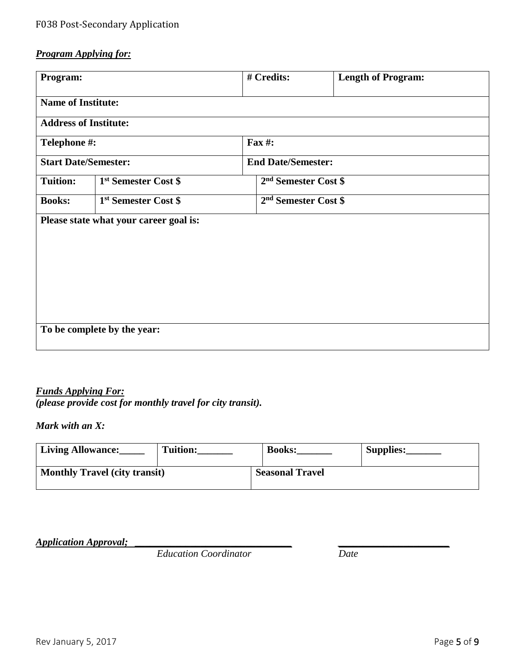# *Program Applying for:*

| Program:                     |                                        |                                  | # Credits:                       | <b>Length of Program:</b> |  |  |
|------------------------------|----------------------------------------|----------------------------------|----------------------------------|---------------------------|--|--|
|                              | <b>Name of Institute:</b>              |                                  |                                  |                           |  |  |
| <b>Address of Institute:</b> |                                        |                                  |                                  |                           |  |  |
| Telephone #:                 |                                        |                                  | <b>Fax #:</b>                    |                           |  |  |
| <b>Start Date/Semester:</b>  |                                        |                                  | <b>End Date/Semester:</b>        |                           |  |  |
| <b>Tuition:</b>              | 1 <sup>st</sup> Semester Cost \$       | 2 <sup>nd</sup> Semester Cost \$ |                                  |                           |  |  |
| <b>Books:</b>                | 1 <sup>st</sup> Semester Cost \$       |                                  | 2 <sup>nd</sup> Semester Cost \$ |                           |  |  |
|                              | Please state what your career goal is: |                                  |                                  |                           |  |  |
|                              |                                        |                                  |                                  |                           |  |  |
|                              |                                        |                                  |                                  |                           |  |  |
|                              |                                        |                                  |                                  |                           |  |  |
|                              |                                        |                                  |                                  |                           |  |  |
|                              |                                        |                                  |                                  |                           |  |  |
| To be complete by the year:  |                                        |                                  |                                  |                           |  |  |

#### *Funds Applying For: (please provide cost for monthly travel for city transit).*

*Mark with an X:*

| <b>Living Allowance:</b>             | <b>Tuition:</b> | <b>Books:</b>          | Supplies: |
|--------------------------------------|-----------------|------------------------|-----------|
| <b>Monthly Travel (city transit)</b> |                 | <b>Seasonal Travel</b> |           |

*Application Approval; <br>Education Coordinator Date* 

*Education Coordinator*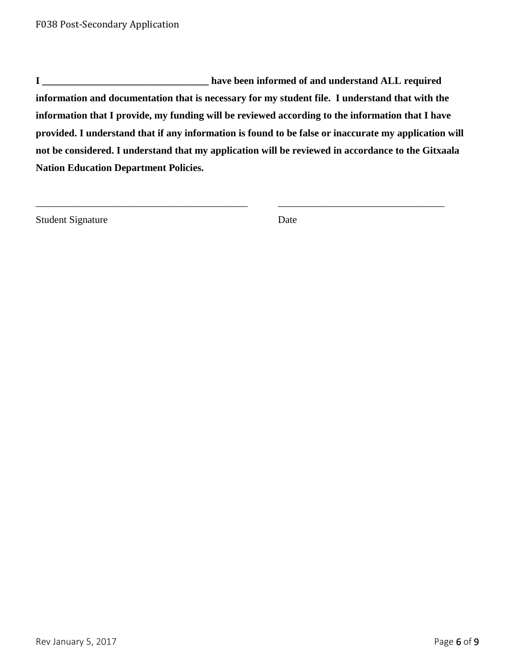**I \_\_\_\_\_\_\_\_\_\_\_\_\_\_\_\_\_\_\_\_\_\_\_\_\_\_\_\_\_\_\_\_\_ have been informed of and understand ALL required information and documentation that is necessary for my student file. I understand that with the information that I provide, my funding will be reviewed according to the information that I have provided. I understand that if any information is found to be false or inaccurate my application will not be considered. I understand that my application will be reviewed in accordance to the Gitxaala Nation Education Department Policies.**

\_\_\_\_\_\_\_\_\_\_\_\_\_\_\_\_\_\_\_\_\_\_\_\_\_\_\_\_\_\_\_\_\_\_\_\_\_\_\_\_\_\_ \_\_\_\_\_\_\_\_\_\_\_\_\_\_\_\_\_\_\_\_\_\_\_\_\_\_\_\_\_\_\_\_\_

Student Signature Date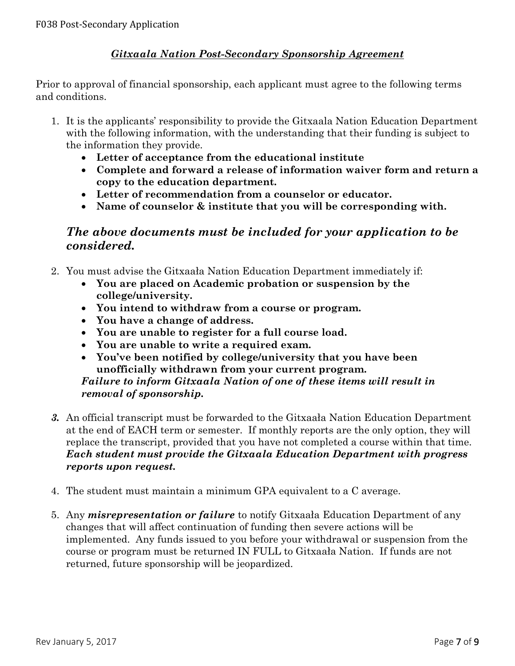## *Gitxaala Nation Post-Secondary Sponsorship Agreement*

Prior to approval of financial sponsorship, each applicant must agree to the following terms and conditions.

- 1. It is the applicants' responsibility to provide the Gitxaala Nation Education Department with the following information, with the understanding that their funding is subject to the information they provide.
	- **Letter of acceptance from the educational institute**
	- **Complete and forward a release of information waiver form and return a copy to the education department.**
	- **Letter of recommendation from a counselor or educator.**
	- **Name of counselor & institute that you will be corresponding with.**

# *The above documents must be included for your application to be considered.*

- 2. You must advise the Gitxaała Nation Education Department immediately if:
	- **You are placed on Academic probation or suspension by the college/university.**
	- **You intend to withdraw from a course or program.**
	- **You have a change of address.**
	- **You are unable to register for a full course load.**
	- **You are unable to write a required exam.**
	- **You've been notified by college/university that you have been unofficially withdrawn from your current program.**

#### *Failure to inform Gitxaala Nation of one of these items will result in removal of sponsorship.*

- *3.* An official transcript must be forwarded to the Gitxaała Nation Education Department at the end of EACH term or semester. If monthly reports are the only option, they will replace the transcript, provided that you have not completed a course within that time. *Each student must provide the Gitxaala Education Department with progress reports upon request.*
- 4. The student must maintain a minimum GPA equivalent to a C average.
- 5. Any *misrepresentation or failure* to notify Gitxaała Education Department of any changes that will affect continuation of funding then severe actions will be implemented. Any funds issued to you before your withdrawal or suspension from the course or program must be returned IN FULL to Gitxaała Nation. If funds are not returned, future sponsorship will be jeopardized.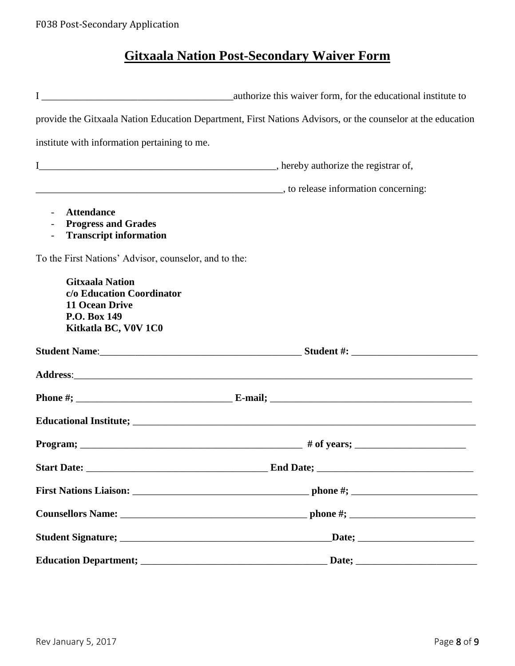# **Gitxaala Nation Post-Secondary Waiver Form**

|                                                                                                                      | provide the Gitxaala Nation Education Department, First Nations Advisors, or the counselor at the education |
|----------------------------------------------------------------------------------------------------------------------|-------------------------------------------------------------------------------------------------------------|
| institute with information pertaining to me.                                                                         |                                                                                                             |
|                                                                                                                      |                                                                                                             |
|                                                                                                                      |                                                                                                             |
| <b>Attendance</b><br><b>Progress and Grades</b><br><b>Transcript information</b><br>$\overline{\phantom{a}}$         |                                                                                                             |
| To the First Nations' Advisor, counselor, and to the:                                                                |                                                                                                             |
| <b>Gitxaala Nation</b><br>c/o Education Coordinator<br><b>11 Ocean Drive</b><br>P.O. Box 149<br>Kitkatla BC, V0V 1C0 |                                                                                                             |
|                                                                                                                      |                                                                                                             |
|                                                                                                                      |                                                                                                             |
|                                                                                                                      |                                                                                                             |
|                                                                                                                      |                                                                                                             |
|                                                                                                                      |                                                                                                             |
|                                                                                                                      |                                                                                                             |
|                                                                                                                      |                                                                                                             |
|                                                                                                                      |                                                                                                             |
|                                                                                                                      |                                                                                                             |
|                                                                                                                      |                                                                                                             |